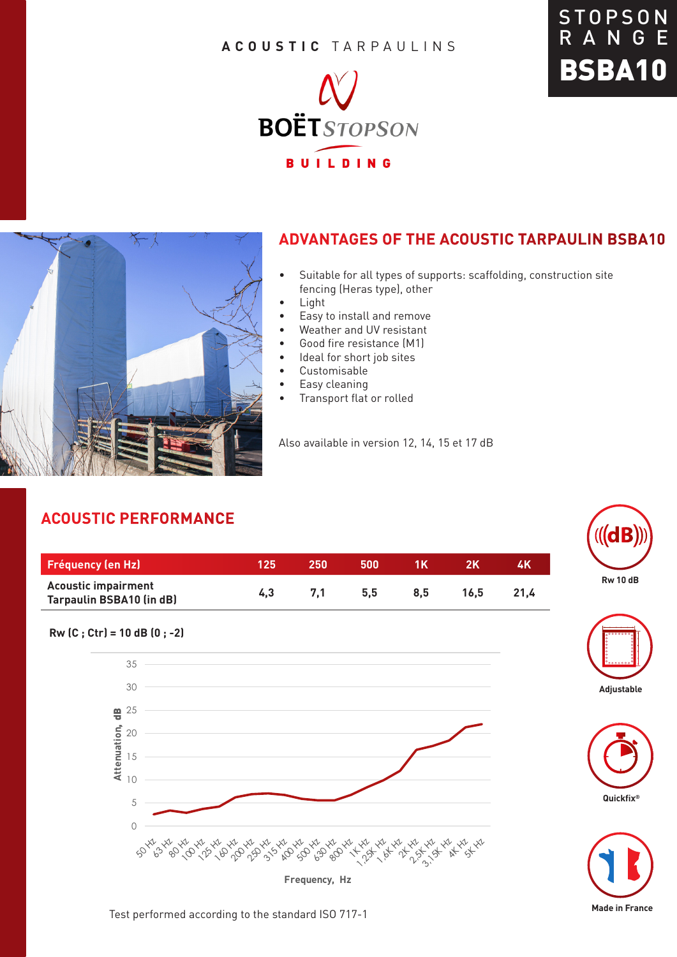### **ACOUSTIC** TARPAULINS







## **ADVANTAGES OF THE ACOUSTIC TARPAULIN BSBA10**

- Suitable for all types of supports: scaffolding, construction site fencing (Heras type), other
- Light
- Easy to install and remove
- Weather and UV resistant
- Good fire resistance (M1)
- Ideal for short job sites
- Customisable
- Easy cleaning
- Transport flat or rolled

Also available in version 12, 14, 15 et 17 dB

# **ACOUSTIC PERFORMANCE**

**Rw (C ; Ctr) = 10 dB (0 ; -2)** 

5 10

15

20  $\frac{m}{2}$  25

**Attenuation**, dB

30

35

| <b>Fréquency (en Hz)</b>                                      | 125. | 250 | 500 |     |      | 4K   |
|---------------------------------------------------------------|------|-----|-----|-----|------|------|
| <b>Acoustic impairment</b><br><b>Tarpaulin BSBA10 (in dB)</b> | 4.3  | 7.1 | 5.5 | 8.5 | 16.5 | 21.4 |

0

**Frequency, Hz**









#### Test performed according to the standard ISO 717-1